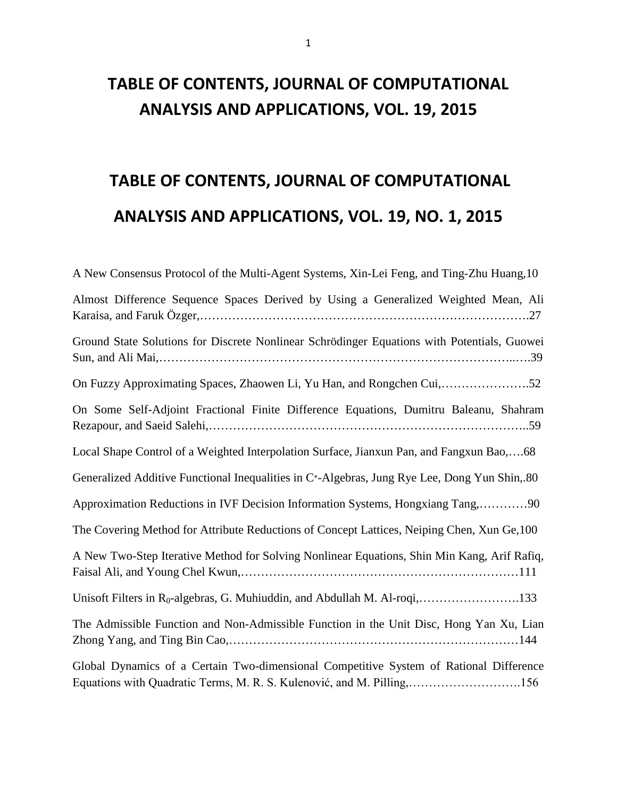## **TABLE OF CONTENTS, JOURNAL OF COMPUTATIONAL ANALYSIS AND APPLICATIONS, VOL. 19, 2015**

# **TABLE OF CONTENTS, JOURNAL OF COMPUTATIONAL ANALYSIS AND APPLICATIONS, VOL. 19, NO. 1, 2015**

| A New Consensus Protocol of the Multi-Agent Systems, Xin-Lei Feng, and Ting-Zhu Huang, 10                                                                         |
|-------------------------------------------------------------------------------------------------------------------------------------------------------------------|
| Almost Difference Sequence Spaces Derived by Using a Generalized Weighted Mean, Ali                                                                               |
| Ground State Solutions for Discrete Nonlinear Schrödinger Equations with Potentials, Guowei                                                                       |
|                                                                                                                                                                   |
| On Some Self-Adjoint Fractional Finite Difference Equations, Dumitru Baleanu, Shahram                                                                             |
| Local Shape Control of a Weighted Interpolation Surface, Jianxun Pan, and Fangxun Bao,68                                                                          |
| Generalized Additive Functional Inequalities in C*-Algebras, Jung Rye Lee, Dong Yun Shin, 80                                                                      |
| Approximation Reductions in IVF Decision Information Systems, Hongxiang Tang,90                                                                                   |
| The Covering Method for Attribute Reductions of Concept Lattices, Neiping Chen, Xun Ge, 100                                                                       |
| A New Two-Step Iterative Method for Solving Nonlinear Equations, Shin Min Kang, Arif Rafiq,                                                                       |
| Unisoft Filters in R <sub>0</sub> -algebras, G. Muhiuddin, and Abdullah M. Al-roqi,133                                                                            |
| The Admissible Function and Non-Admissible Function in the Unit Disc, Hong Yan Xu, Lian                                                                           |
| Global Dynamics of a Certain Two-dimensional Competitive System of Rational Difference<br>Equations with Quadratic Terms, M. R. S. Kulenović, and M. Pilling, 156 |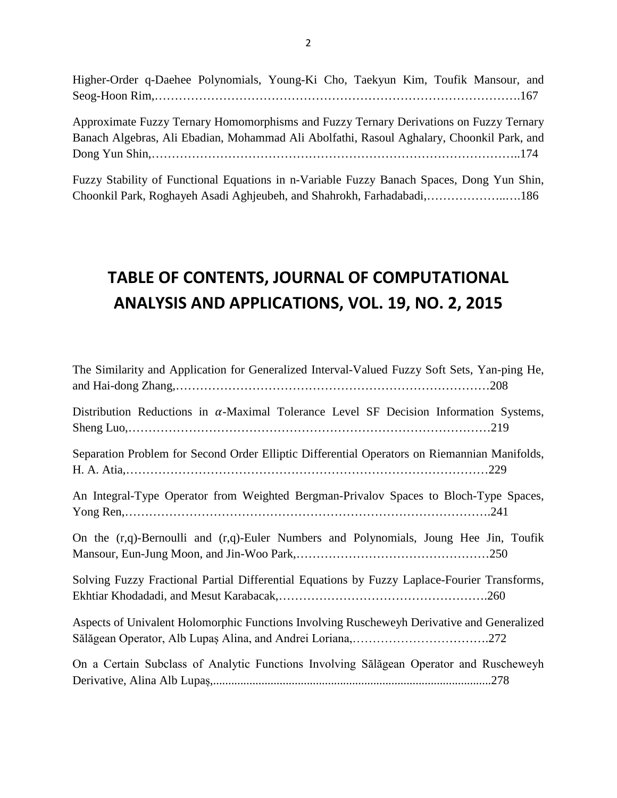Higher-Order q-Daehee Polynomials, Young-Ki Cho, Taekyun Kim, Toufik Mansour, and Seog-Hoon Rim,……………………………………………………………………………….167

Approximate Fuzzy Ternary Homomorphisms and Fuzzy Ternary Derivations on Fuzzy Ternary Banach Algebras, Ali Ebadian, Mohammad Ali Abolfathi, Rasoul Aghalary, Choonkil Park, and Dong Yun Shin,………………………………………………………………………………..174

Fuzzy Stability of Functional Equations in n-Variable Fuzzy Banach Spaces, Dong Yun Shin, Choonkil Park, Roghayeh Asadi Aghjeubeh, and Shahrokh, Farhadabadi,………………..….186

#### **TABLE OF CONTENTS, JOURNAL OF COMPUTATIONAL ANALYSIS AND APPLICATIONS, VOL. 19, NO. 2, 2015**

| The Similarity and Application for Generalized Interval-Valued Fuzzy Soft Sets, Yan-ping He,  |
|-----------------------------------------------------------------------------------------------|
| Distribution Reductions in $\alpha$ -Maximal Tolerance Level SF Decision Information Systems, |
| Separation Problem for Second Order Elliptic Differential Operators on Riemannian Manifolds,  |
| An Integral-Type Operator from Weighted Bergman-Privalov Spaces to Bloch-Type Spaces,         |
| On the (r,q)-Bernoulli and (r,q)-Euler Numbers and Polynomials, Joung Hee Jin, Toufik         |
| Solving Fuzzy Fractional Partial Differential Equations by Fuzzy Laplace-Fourier Transforms,  |
| Aspects of Univalent Holomorphic Functions Involving Ruscheweyh Derivative and Generalized    |
| On a Certain Subclass of Analytic Functions Involving Sălăgean Operator and Ruscheweyh        |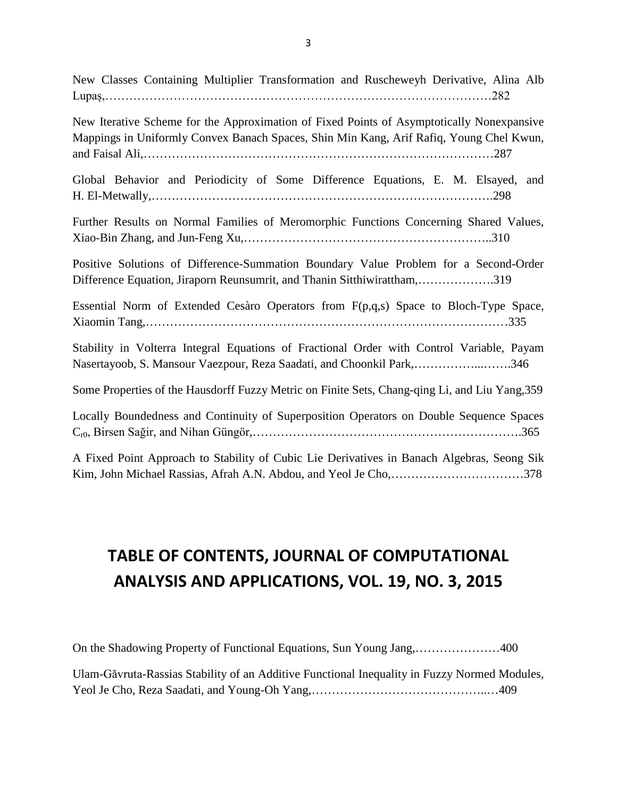New Classes Containing Multiplier Transformation and Ruscheweyh Derivative, Alina Alb Lupaș,……………………………………………………………………………………282

New Iterative Scheme for the Approximation of Fixed Points of Asymptotically Nonexpansive Mappings in Uniformly Convex Banach Spaces, Shin Min Kang, Arif Rafiq, Young Chel Kwun, and Faisal Ali,……………………………………………………………………………287

Global Behavior and Periodicity of Some Difference Equations, E. M. Elsayed, and H. El-Metwally,………………………………………………………………………….298

Further Results on Normal Families of Meromorphic Functions Concerning Shared Values, Xiao-Bin Zhang, and Jun-Feng Xu,……………………………………………………..310

Positive Solutions of Difference-Summation Boundary Value Problem for a Second-Order Difference Equation, Jiraporn Reunsumrit, and Thanin Sitthiwirattham,……………….319

Essential Norm of Extended Cesàro Operators from F(p,q,s) Space to Bloch-Type Space, Xiaomin Tang,………………………………………………………………………………335

Stability in Volterra Integral Equations of Fractional Order with Control Variable, Payam Nasertayoob, S. Mansour Vaezpour, Reza Saadati, and Choonkil Park,……………...…….346

Some Properties of the Hausdorff Fuzzy Metric on Finite Sets, Chang-qing Li, and Liu Yang,359

Locally Boundedness and Continuity of Superposition Operators on Double Sequence Spaces Cr0, Birsen Sağir, and Nihan Güngör,………………………………………………………….365

A Fixed Point Approach to Stability of Cubic Lie Derivatives in Banach Algebras, Seong Sik Kim, John Michael Rassias, Afrah A.N. Abdou, and Yeol Je Cho,……………………………378

## **TABLE OF CONTENTS, JOURNAL OF COMPUTATIONAL ANALYSIS AND APPLICATIONS, VOL. 19, NO. 3, 2015**

On the Shadowing Property of Functional Equations, Sun Young Jang,…………………400 Ulam-Găvruta-Rassias Stability of an Additive Functional Inequality in Fuzzy Normed Modules,

Yeol Je Cho, Reza Saadati, and Young-Oh Yang,……………………………………..…409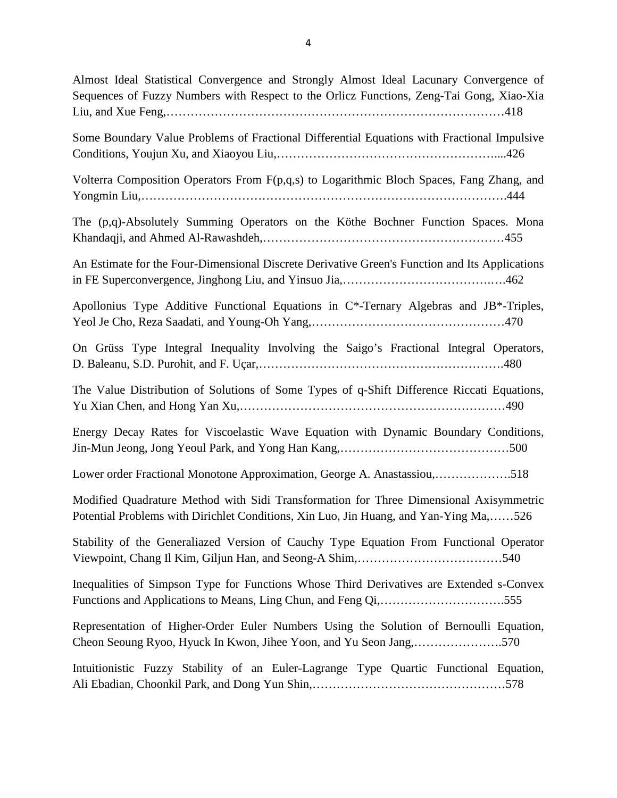Almost Ideal Statistical Convergence and Strongly Almost Ideal Lacunary Convergence of Sequences of Fuzzy Numbers with Respect to the Orlicz Functions, Zeng-Tai Gong, Xiao-Xia Liu, and Xue Feng,…………………………………………………………………………418 Some Boundary Value Problems of Fractional Differential Equations with Fractional Impulsive Conditions, Youjun Xu, and Xiaoyou Liu,………………………………………………....426 Volterra Composition Operators From F(p,q,s) to Logarithmic Bloch Spaces, Fang Zhang, and Yongmin Liu,……………………………………………………………………………….444 The (p,q)-Absolutely Summing Operators on the Köthe Bochner Function Spaces. Mona Khandaqji, and Ahmed Al-Rawashdeh,……………………………………………………455 An Estimate for the Four-Dimensional Discrete Derivative Green's Function and Its Applications in FE Superconvergence, Jinghong Liu, and Yinsuo Jia,……………………………….….462 Apollonius Type Additive Functional Equations in C\*-Ternary Algebras and JB\*-Triples, Yeol Je Cho, Reza Saadati, and Young-Oh Yang,…………………………………………470 On Grüss Type Integral Inequality Involving the Saigo's Fractional Integral Operators, D. Baleanu, S.D. Purohit, and F. Uçar,…………………………………………………….480 The Value Distribution of Solutions of Some Types of q-Shift Difference Riccati Equations, Yu Xian Chen, and Hong Yan Xu,…………………………………………………………490 Energy Decay Rates for Viscoelastic Wave Equation with Dynamic Boundary Conditions, Jin-Mun Jeong, Jong Yeoul Park, and Yong Han Kang,……………………………………500 Lower order Fractional Monotone Approximation, George A. Anastassiou,……………….518 Modified Quadrature Method with Sidi Transformation for Three Dimensional Axisymmetric Potential Problems with Dirichlet Conditions, Xin Luo, Jin Huang, and Yan-Ying Ma,……526 Stability of the Generaliazed Version of Cauchy Type Equation From Functional Operator Viewpoint, Chang Il Kim, Giljun Han, and Seong-A Shim,………………………………540 Inequalities of Simpson Type for Functions Whose Third Derivatives are Extended s-Convex Functions and Applications to Means, Ling Chun, and Feng Qi,………………………….555 Representation of Higher-Order Euler Numbers Using the Solution of Bernoulli Equation, Cheon Seoung Ryoo, Hyuck In Kwon, Jihee Yoon, and Yu Seon Jang,………………….570 Intuitionistic Fuzzy Stability of an Euler-Lagrange Type Quartic Functional Equation, Ali Ebadian, Choonkil Park, and Dong Yun Shin,…………………………………………578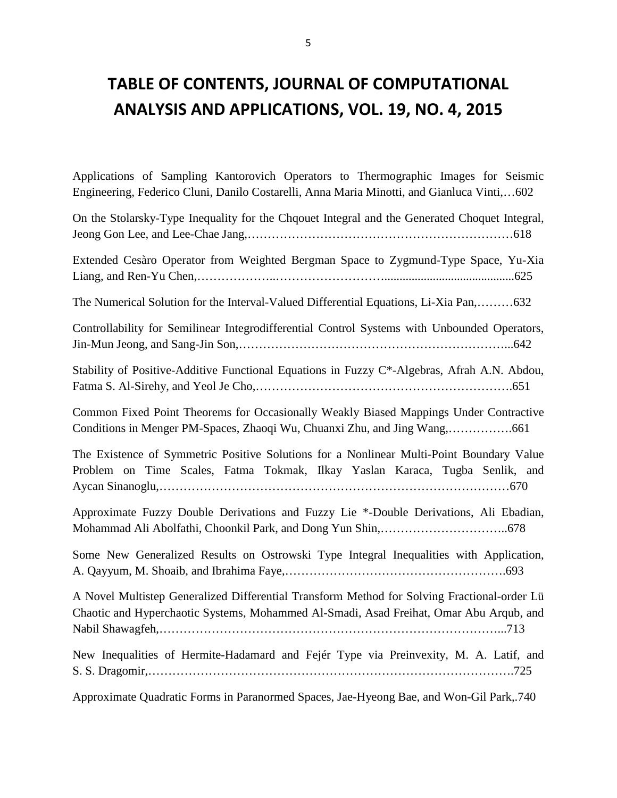#### **TABLE OF CONTENTS, JOURNAL OF COMPUTATIONAL ANALYSIS AND APPLICATIONS, VOL. 19, NO. 4, 2015**

Applications of Sampling Kantorovich Operators to Thermographic Images for Seismic Engineering, Federico Cluni, Danilo Costarelli, Anna Maria Minotti, and Gianluca Vinti,…602

| On the Stolarsky-Type Inequality for the Chqouet Integral and the Generated Choquet Integral,                                                                                         |
|---------------------------------------------------------------------------------------------------------------------------------------------------------------------------------------|
| Extended Cesàro Operator from Weighted Bergman Space to Zygmund-Type Space, Yu-Xia                                                                                                    |
| The Numerical Solution for the Interval-Valued Differential Equations, Li-Xia Pan,632                                                                                                 |
| Controllability for Semilinear Integrodifferential Control Systems with Unbounded Operators,                                                                                          |
| Stability of Positive-Additive Functional Equations in Fuzzy C*-Algebras, Afrah A.N. Abdou,                                                                                           |
| Common Fixed Point Theorems for Occasionally Weakly Biased Mappings Under Contractive<br>Conditions in Menger PM-Spaces, Zhaoqi Wu, Chuanxi Zhu, and Jing Wang,661                    |
| The Existence of Symmetric Positive Solutions for a Nonlinear Multi-Point Boundary Value<br>Problem on Time Scales, Fatma Tokmak, Ilkay Yaslan Karaca, Tugba Senlik, and              |
| Approximate Fuzzy Double Derivations and Fuzzy Lie *-Double Derivations, Ali Ebadian,                                                                                                 |
| Some New Generalized Results on Ostrowski Type Integral Inequalities with Application,                                                                                                |
| A Novel Multistep Generalized Differential Transform Method for Solving Fractional-order Lü<br>Chaotic and Hyperchaotic Systems, Mohammed Al-Smadi, Asad Freihat, Omar Abu Arqub, and |
| New Inequalities of Hermite-Hadamard and Fejér Type via Preinvexity, M. A. Latif, and                                                                                                 |
| Approximate Quadratic Forms in Paranormed Spaces, Jae-Hyeong Bae, and Won-Gil Park, 740                                                                                               |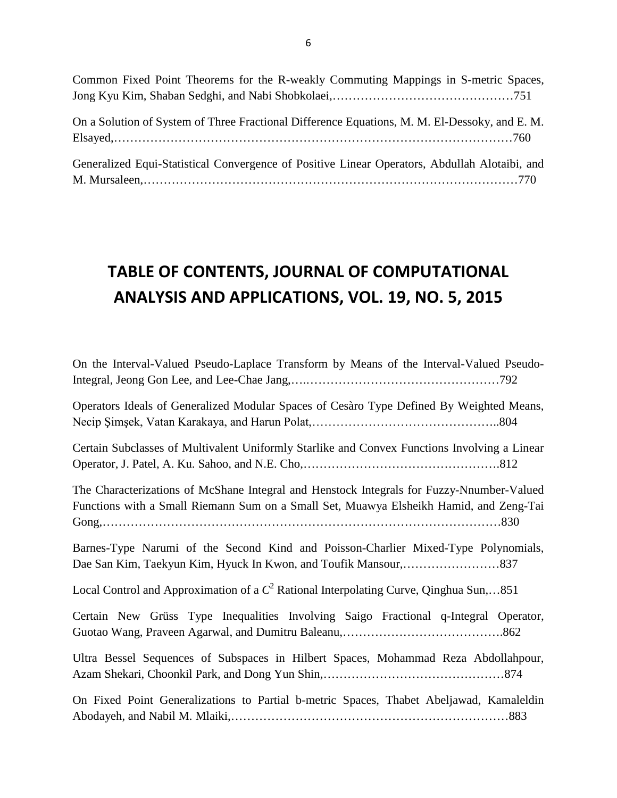| Common Fixed Point Theorems for the R-weakly Commuting Mappings in S-metric Spaces,           |  |
|-----------------------------------------------------------------------------------------------|--|
|                                                                                               |  |
|                                                                                               |  |
| On a Solution of System of Three Fractional Difference Equations, M. M. El-Dessoky, and E. M. |  |
|                                                                                               |  |
|                                                                                               |  |
| Generalized Equi-Statistical Convergence of Positive Linear Operators, Abdullah Alotaibi, and |  |
|                                                                                               |  |

# **TABLE OF CONTENTS, JOURNAL OF COMPUTATIONAL ANALYSIS AND APPLICATIONS, VOL. 19, NO. 5, 2015**

| On the Interval-Valued Pseudo-Laplace Transform by Means of the Interval-Valued Pseudo-                                                                                             |
|-------------------------------------------------------------------------------------------------------------------------------------------------------------------------------------|
| Operators Ideals of Generalized Modular Spaces of Cesàro Type Defined By Weighted Means,                                                                                            |
| Certain Subclasses of Multivalent Uniformly Starlike and Convex Functions Involving a Linear                                                                                        |
| The Characterizations of McShane Integral and Henstock Integrals for Fuzzy-Nnumber-Valued<br>Functions with a Small Riemann Sum on a Small Set, Muawya Elsheikh Hamid, and Zeng-Tai |
| Barnes-Type Narumi of the Second Kind and Poisson-Charlier Mixed-Type Polynomials,                                                                                                  |
| Local Control and Approximation of a $C^2$ Rational Interpolating Curve, Qinghua Sun,851                                                                                            |
| Certain New Grüss Type Inequalities Involving Saigo Fractional q-Integral Operator,                                                                                                 |
| Ultra Bessel Sequences of Subspaces in Hilbert Spaces, Mohammad Reza Abdollahpour,                                                                                                  |
| On Fixed Point Generalizations to Partial b-metric Spaces, Thabet Abeljawad, Kamaleldin                                                                                             |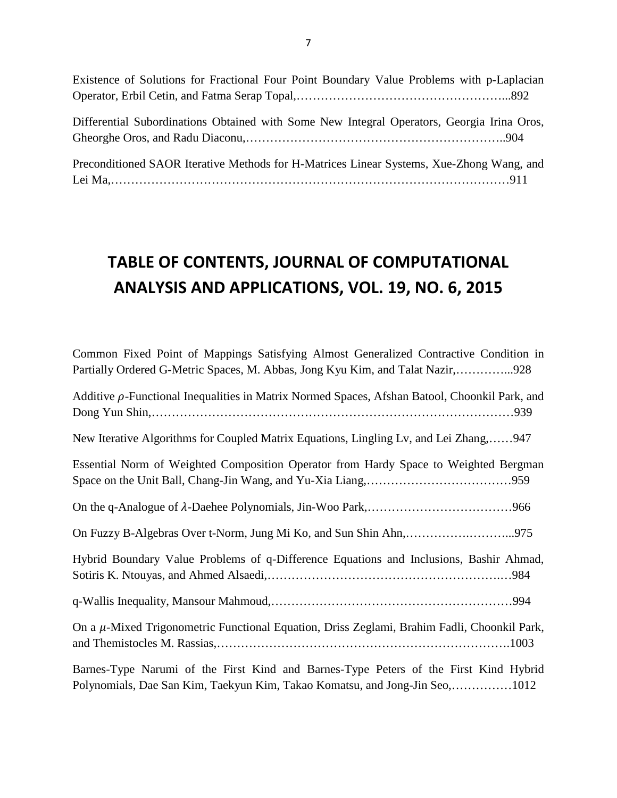| Existence of Solutions for Fractional Four Point Boundary Value Problems with p-Laplacian  |  |
|--------------------------------------------------------------------------------------------|--|
|                                                                                            |  |
|                                                                                            |  |
| Differential Subordinations Obtained with Some New Integral Operators, Georgia Irina Oros, |  |
|                                                                                            |  |
|                                                                                            |  |
| Preconditioned SAOR Iterative Methods for H-Matrices Linear Systems, Xue-Zhong Wang, and   |  |
|                                                                                            |  |

7

## **TABLE OF CONTENTS, JOURNAL OF COMPUTATIONAL ANALYSIS AND APPLICATIONS, VOL. 19, NO. 6, 2015**

| Common Fixed Point of Mappings Satisfying Almost Generalized Contractive Condition in                                                                               |
|---------------------------------------------------------------------------------------------------------------------------------------------------------------------|
| Partially Ordered G-Metric Spaces, M. Abbas, Jong Kyu Kim, and Talat Nazir,928                                                                                      |
| Additive $\rho$ -Functional Inequalities in Matrix Normed Spaces, Afshan Batool, Choonkil Park, and                                                                 |
|                                                                                                                                                                     |
| New Iterative Algorithms for Coupled Matrix Equations, Lingling Lv, and Lei Zhang,947                                                                               |
| Essential Norm of Weighted Composition Operator from Hardy Space to Weighted Bergman                                                                                |
|                                                                                                                                                                     |
|                                                                                                                                                                     |
| Hybrid Boundary Value Problems of q-Difference Equations and Inclusions, Bashir Ahmad,                                                                              |
|                                                                                                                                                                     |
| On a μ-Mixed Trigonometric Functional Equation, Driss Zeglami, Brahim Fadli, Choonkil Park,                                                                         |
| Barnes-Type Narumi of the First Kind and Barnes-Type Peters of the First Kind Hybrid<br>Polynomials, Dae San Kim, Taekyun Kim, Takao Komatsu, and Jong-Jin Seo,1012 |